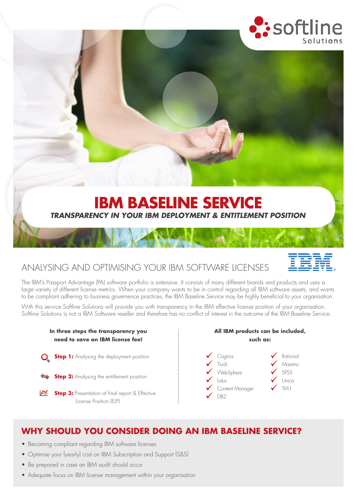

## ANALYSING AND OPTIMISING YOUR IBM SOFTWARE LICENSES

The IBM's Passport Advantage (PA) software portfolio is extensive. It consists of many different brands and products and uses a large variety of different license metrics. When your company wants to be in control regarding all IBM software assets, and wants to be compliant adhering to business governence practices, the IBM Baseline Service may be highly beneficial to your organisation.

*TRANSPARENCY IN YOUR IBM DEPLOYMENT & ENTITLEMENT POSITION*

**IBM BASELINE SERVICE**

With this service Softline Solutions will provide you with transparency in the IBM effective license position of your organisation. Softline Solutions is not a IBM Software reseller and therefore has no conflict of interest in the outcome of the IBM Baseline Service.



### **WHY SHOULD YOU CONSIDER DOING AN IBM BASELINE SERVICE?**

- Becoming compliant regarding IBM software licenses
- Optimise your (yearly) cost on IBM Subscription and Support (S&S)
- Be prepared in case an IBM audit should occur
- Adequate focus on IBM license management within your organisation